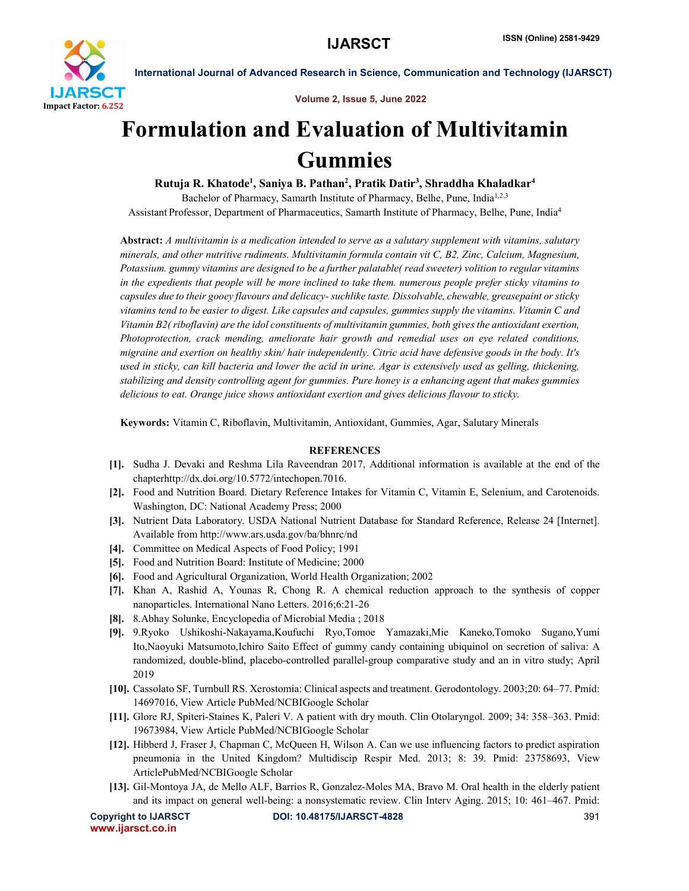

International Journal of Advanced Research in Science, Communication and Technology (IJARSCT)

Volume 2, Issue 5, June 2022

# Formulation and Evaluation of Multivitamin Gummies

Rutuja R. Khatode<sup>1</sup>, Saniya B. Pathan<sup>2</sup>, Pratik Datir<sup>3</sup>, Shraddha Khaladkar<sup>4</sup>

Bachelor of Pharmacy, Samarth Institute of Pharmacy, Belhe, Pune, India<sup>1,2,3</sup> Assistant Professor, Department of Pharmaceutics, Samarth Institute of Pharmacy, Belhe, Pune, India4

Abstract: *A multivitamin is a medication intended to serve as a salutary supplement with vitamins, salutary minerals, and other nutritive rudiments. Multivitamin formula contain vit C, B2, Zinc, Calcium, Magnesium, Potassium. gummy vitamins are designed to be a further palatable( read sweeter) volition to regular vitamins in the expedients that people will be more inclined to take them. numerous people prefer sticky vitamins to capsules due to their gooey flavours and delicacy-suchlike taste. Dissolvable, chewable, greasepaint or sticky vitamins tend to be easier to digest. Like capsules and capsules, gummies supply the vitamins. Vitamin C and Vitamin B2( riboflavin) are the idol constituents of multivitamin gummies, both gives the antioxidant exertion, Photoprotection, crack mending, ameliorate hair growth and remedial uses on eye related conditions, migraine and exertion on healthy skin/ hair independently. Citric acid have defensive goods in the body. It's used in sticky, can kill bacteria and lower the acid in urine. Agar is extensively used as gelling, thickening, stabilizing and density controlling agent for gummies. Pure honey is a enhancing agent that makes gummies delicious to eat. Orange juice shows antioxidant exertion and gives delicious flavour to sticky.*

Keywords: Vitamin C, Riboflavin, Multivitamin, Antioxidant, Gummies, Agar, Salutary Minerals

# **REFERENCES**

- [1]. Sudha J. Devaki and Reshma Lila Raveendran 2017, Additional information is available at the end of the chapterhttp://dx.doi.org/10.5772/intechopen.7016.
- [2]. Food and Nutrition Board. Dietary Reference Intakes for Vitamin C, Vitamin E, Selenium, and Carotenoids. Washington, DC: National Academy Press; 2000
- [3]. Nutrient Data Laboratory. USDA National Nutrient Database for Standard Reference, Release 24 [Internet]. Available from http://www.ars.usda.gov/ba/bhnrc/nd
- [4]. Committee on Medical Aspects of Food Policy; 1991
- [5]. Food and Nutrition Board: Institute of Medicine; 2000
- [6]. Food and Agricultural Organization, World Health Organization; 2002
- [7]. Khan A, Rashid A, Younas R, Chong R. A chemical reduction approach to the synthesis of copper nanoparticles. International Nano Letters. 2016;6:21-26
- [8]. 8.Abhay Solunke, Encyclopedia of Microbial Media ; 2018
- [9]. 9.Ryoko Ushikoshi-Nakayama,Koufuchi Ryo,Tomoe Yamazaki,Mie Kaneko,Tomoko Sugano,Yumi Ito,Naoyuki Matsumoto,Ichiro Saito Effect of gummy candy containing ubiquinol on secretion of saliva: A randomized, double-blind, placebo-controlled parallel-group comparative study and an in vitro study; April 2019
- [10]. Cassolato SF, Turnbull RS. Xerostomia: Clinical aspects and treatment. Gerodontology. 2003;20: 64–77. Pmid: 14697016, View Article PubMed/NCBIGoogle Scholar
- [11]. Glore RJ, Spiteri-Staines K, Paleri V. A patient with dry mouth. Clin Otolaryngol. 2009; 34: 358–363. Pmid: 19673984, View Article PubMed/NCBIGoogle Scholar
- [12]. Hibberd J, Fraser J, Chapman C, McQueen H, Wilson A. Can we use influencing factors to predict aspiration pneumonia in the United Kingdom? Multidiscip Respir Med. 2013; 8: 39. Pmid: 23758693, View ArticlePubMed/NCBIGoogle Scholar
- [13]. Gil-Montoya JA, de Mello ALF, Barrios R, Gonzalez-Moles MA, Bravo M. Oral health in the elderly patient and its impact on general well-being: a nonsystematic review. Clin Interv Aging. 2015; 10: 461–467. Pmid:

```
www.ijarsct.co.in
```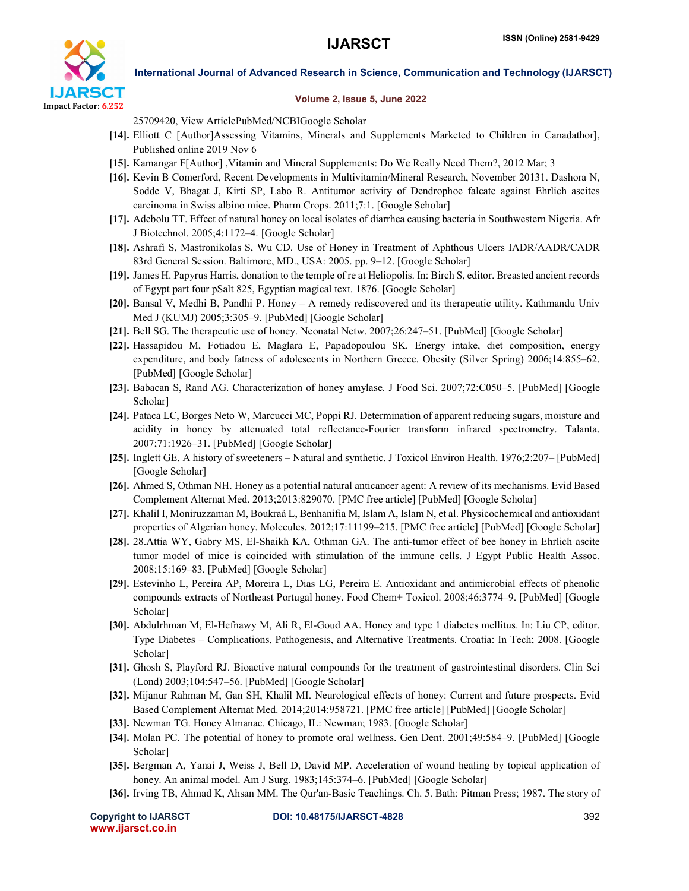

## International Journal of Advanced Research in Science, Communication and Technology (IJARSCT)

### Volume 2, Issue 5, June 2022

25709420, View ArticlePubMed/NCBIGoogle Scholar

- [14]. Elliott C [Author]Assessing Vitamins, Minerals and Supplements Marketed to Children in Canadathor], Published online 2019 Nov 6
- [15]. Kamangar F[Author] ,Vitamin and Mineral Supplements: Do We Really Need Them?, 2012 Mar; 3
- [16]. Kevin B Comerford, Recent Developments in Multivitamin/Mineral Research, November 20131. Dashora N, Sodde V, Bhagat J, Kirti SP, Labo R. Antitumor activity of Dendrophoe falcate against Ehrlich ascites carcinoma in Swiss albino mice. Pharm Crops. 2011;7:1. [Google Scholar]
- [17]. Adebolu TT. Effect of natural honey on local isolates of diarrhea causing bacteria in Southwestern Nigeria. Afr J Biotechnol. 2005;4:1172–4. [Google Scholar]
- [18]. Ashrafi S, Mastronikolas S, Wu CD. Use of Honey in Treatment of Aphthous Ulcers IADR/AADR/CADR 83rd General Session. Baltimore, MD., USA: 2005. pp. 9–12. [Google Scholar]
- [19]. James H. Papyrus Harris, donation to the temple of re at Heliopolis. In: Birch S, editor. Breasted ancient records of Egypt part four pSalt 825, Egyptian magical text. 1876. [Google Scholar]
- [20]. Bansal V, Medhi B, Pandhi P. Honey A remedy rediscovered and its therapeutic utility. Kathmandu Univ Med J (KUMJ) 2005;3:305–9. [PubMed] [Google Scholar]
- [21]. Bell SG. The therapeutic use of honey. Neonatal Netw. 2007;26:247–51. [PubMed] [Google Scholar]
- [22]. Hassapidou M, Fotiadou E, Maglara E, Papadopoulou SK. Energy intake, diet composition, energy expenditure, and body fatness of adolescents in Northern Greece. Obesity (Silver Spring) 2006;14:855–62. [PubMed] [Google Scholar]
- [23]. Babacan S, Rand AG. Characterization of honey amylase. J Food Sci. 2007;72:C050–5. [PubMed] [Google Scholar]
- [24]. Pataca LC, Borges Neto W, Marcucci MC, Poppi RJ. Determination of apparent reducing sugars, moisture and acidity in honey by attenuated total reflectance-Fourier transform infrared spectrometry. Talanta. 2007;71:1926–31. [PubMed] [Google Scholar]
- [25]. Inglett GE. A history of sweeteners Natural and synthetic. J Toxicol Environ Health. 1976;2:207– [PubMed] [Google Scholar]
- [26]. Ahmed S, Othman NH. Honey as a potential natural anticancer agent: A review of its mechanisms. Evid Based Complement Alternat Med. 2013;2013:829070. [PMC free article] [PubMed] [Google Scholar]
- [27]. Khalil I, Moniruzzaman M, Boukraâ L, Benhanifia M, Islam A, Islam N, et al. Physicochemical and antioxidant properties of Algerian honey. Molecules. 2012;17:11199–215. [PMC free article] [PubMed] [Google Scholar]
- [28]. 28.Attia WY, Gabry MS, El-Shaikh KA, Othman GA. The anti-tumor effect of bee honey in Ehrlich ascite tumor model of mice is coincided with stimulation of the immune cells. J Egypt Public Health Assoc. 2008;15:169–83. [PubMed] [Google Scholar]
- [29]. Estevinho L, Pereira AP, Moreira L, Dias LG, Pereira E. Antioxidant and antimicrobial effects of phenolic compounds extracts of Northeast Portugal honey. Food Chem+ Toxicol. 2008;46:3774–9. [PubMed] [Google Scholar]
- [30]. Abdulrhman M, El-Hefnawy M, Ali R, El-Goud AA. Honey and type 1 diabetes mellitus. In: Liu CP, editor. Type Diabetes – Complications, Pathogenesis, and Alternative Treatments. Croatia: In Tech; 2008. [Google Scholar]
- [31]. Ghosh S, Playford RJ. Bioactive natural compounds for the treatment of gastrointestinal disorders. Clin Sci (Lond) 2003;104:547–56. [PubMed] [Google Scholar]
- [32]. Mijanur Rahman M, Gan SH, Khalil MI. Neurological effects of honey: Current and future prospects. Evid Based Complement Alternat Med. 2014;2014:958721. [PMC free article] [PubMed] [Google Scholar]
- [33]. Newman TG. Honey Almanac. Chicago, IL: Newman; 1983. [Google Scholar]
- [34]. Molan PC. The potential of honey to promote oral wellness. Gen Dent. 2001;49:584–9. [PubMed] [Google Scholar]
- [35]. Bergman A, Yanai J, Weiss J, Bell D, David MP. Acceleration of wound healing by topical application of honey. An animal model. Am J Surg. 1983;145:374–6. [PubMed] [Google Scholar]
- [36]. Irving TB, Ahmad K, Ahsan MM. The Qur'an-Basic Teachings. Ch. 5. Bath: Pitman Press; 1987. The story of